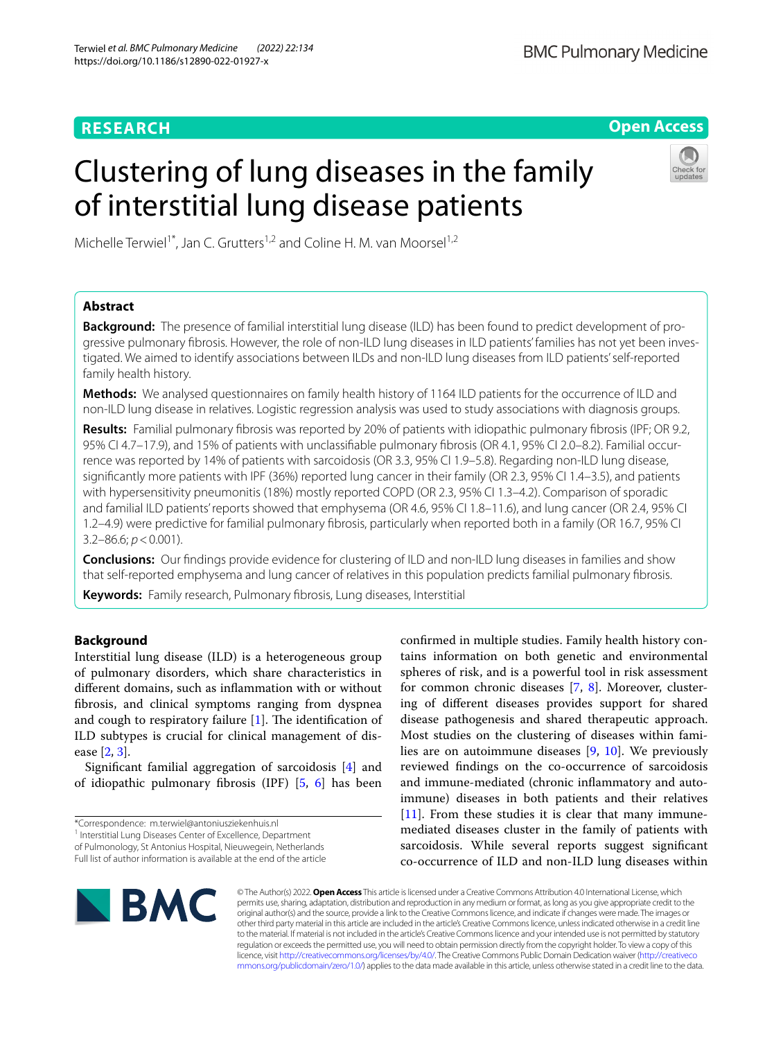# **RESEARCH**

# **Open Access**

# Clustering of lung diseases in the family of interstitial lung disease patients



Michelle Terwiel<sup>1\*</sup>, Jan C. Grutters<sup>1,2</sup> and Coline H. M. van Moorsel<sup>1,2</sup>

# **Abstract**

**Background:** The presence of familial interstitial lung disease (ILD) has been found to predict development of progressive pulmonary fbrosis. However, the role of non-ILD lung diseases in ILD patients' families has not yet been investigated. We aimed to identify associations between ILDs and non-ILD lung diseases from ILD patients' self-reported family health history.

**Methods:** We analysed questionnaires on family health history of 1164 ILD patients for the occurrence of ILD and non-ILD lung disease in relatives. Logistic regression analysis was used to study associations with diagnosis groups.

**Results:** Familial pulmonary fbrosis was reported by 20% of patients with idiopathic pulmonary fbrosis (IPF; OR 9.2, 95% CI 4.7–17.9), and 15% of patients with unclassifable pulmonary fbrosis (OR 4.1, 95% CI 2.0–8.2). Familial occurrence was reported by 14% of patients with sarcoidosis (OR 3.3, 95% CI 1.9–5.8). Regarding non-ILD lung disease, signifcantly more patients with IPF (36%) reported lung cancer in their family (OR 2.3, 95% CI 1.4–3.5), and patients with hypersensitivity pneumonitis (18%) mostly reported COPD (OR 2.3, 95% CI 1.3–4.2). Comparison of sporadic and familial ILD patients' reports showed that emphysema (OR 4.6, 95% CI 1.8–11.6), and lung cancer (OR 2.4, 95% CI 1.2–4.9) were predictive for familial pulmonary fbrosis, particularly when reported both in a family (OR 16.7, 95% CI 3.2–86.6; *p*<0.001).

**Conclusions:** Our fndings provide evidence for clustering of ILD and non-ILD lung diseases in families and show that self-reported emphysema and lung cancer of relatives in this population predicts familial pulmonary fbrosis.

**Keywords:** Family research, Pulmonary fbrosis, Lung diseases, Interstitial

# **Background**

Interstitial lung disease (ILD) is a heterogeneous group of pulmonary disorders, which share characteristics in diferent domains, such as infammation with or without fbrosis, and clinical symptoms ranging from dyspnea and cough to respiratory failure  $[1]$  $[1]$ . The identification of ILD subtypes is crucial for clinical management of disease [[2](#page-8-1), [3\]](#page-8-2).

Signifcant familial aggregation of sarcoidosis [\[4](#page-8-3)] and of idiopathic pulmonary fbrosis (IPF) [[5,](#page-8-4) [6](#page-8-5)] has been

<sup>1</sup> Interstitial Lung Diseases Center of Excellence, Department of Pulmonology, St Antonius Hospital, Nieuwegein, Netherlands confrmed in multiple studies. Family health history contains information on both genetic and environmental spheres of risk, and is a powerful tool in risk assessment for common chronic diseases [\[7](#page-8-6), [8](#page-8-7)]. Moreover, clustering of diferent diseases provides support for shared disease pathogenesis and shared therapeutic approach. Most studies on the clustering of diseases within families are on autoimmune diseases [[9,](#page-8-8) [10\]](#page-8-9). We previously reviewed fndings on the co-occurrence of sarcoidosis and immune-mediated (chronic infammatory and autoimmune) diseases in both patients and their relatives  $[11]$  $[11]$ . From these studies it is clear that many immunemediated diseases cluster in the family of patients with sarcoidosis. While several reports suggest signifcant co-occurrence of ILD and non-ILD lung diseases within



© The Author(s) 2022. **Open Access** This article is licensed under a Creative Commons Attribution 4.0 International License, which permits use, sharing, adaptation, distribution and reproduction in any medium or format, as long as you give appropriate credit to the original author(s) and the source, provide a link to the Creative Commons licence, and indicate if changes were made. The images or other third party material in this article are included in the article's Creative Commons licence, unless indicated otherwise in a credit line to the material. If material is not included in the article's Creative Commons licence and your intended use is not permitted by statutory regulation or exceeds the permitted use, you will need to obtain permission directly from the copyright holder. To view a copy of this licence, visit [http://creativecommons.org/licenses/by/4.0/.](http://creativecommons.org/licenses/by/4.0/) The Creative Commons Public Domain Dedication waiver ([http://creativeco](http://creativecommons.org/publicdomain/zero/1.0/) [mmons.org/publicdomain/zero/1.0/](http://creativecommons.org/publicdomain/zero/1.0/)) applies to the data made available in this article, unless otherwise stated in a credit line to the data.

<sup>\*</sup>Correspondence: m.terwiel@antoniusziekenhuis.nl

Full list of author information is available at the end of the article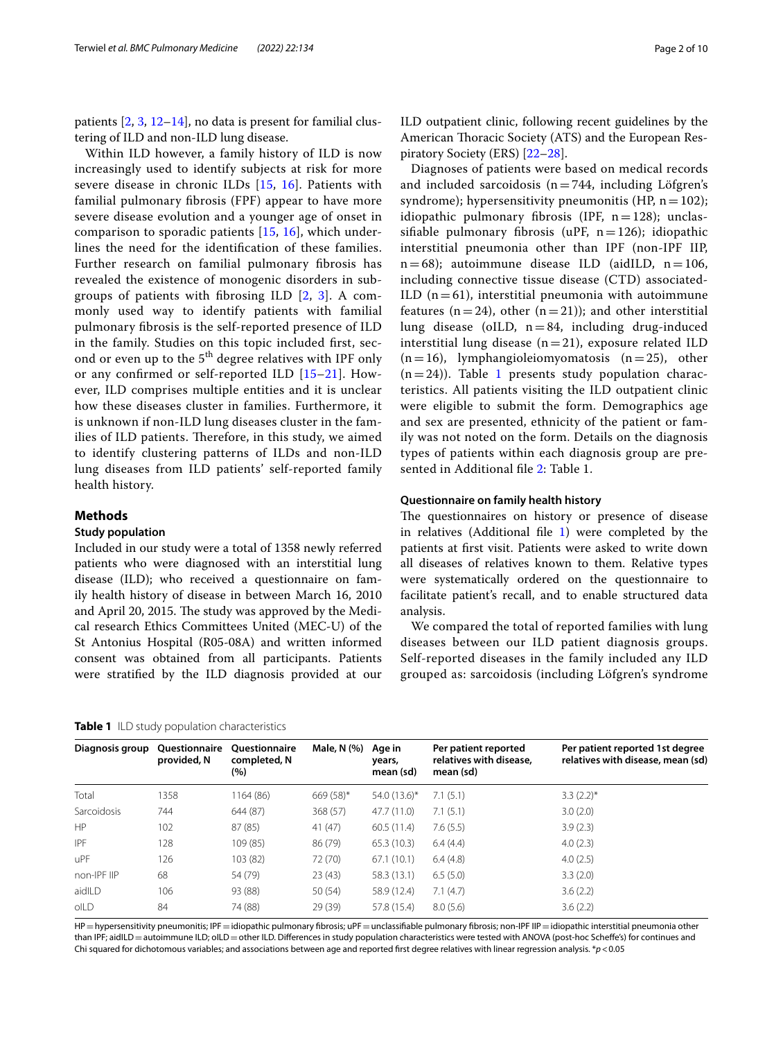patients [\[2,](#page-8-1) [3,](#page-8-2) [12](#page-8-11)[–14](#page-8-12)], no data is present for familial clustering of ILD and non-ILD lung disease.

Within ILD however, a family history of ILD is now increasingly used to identify subjects at risk for more severe disease in chronic ILDs [[15,](#page-8-13) [16](#page-8-14)]. Patients with familial pulmonary fbrosis (FPF) appear to have more severe disease evolution and a younger age of onset in comparison to sporadic patients [[15,](#page-8-13) [16](#page-8-14)], which underlines the need for the identifcation of these families. Further research on familial pulmonary fbrosis has revealed the existence of monogenic disorders in subgroups of patients with fbrosing ILD [\[2](#page-8-1), [3](#page-8-2)]. A commonly used way to identify patients with familial pulmonary fbrosis is the self-reported presence of ILD in the family. Studies on this topic included frst, second or even up to the 5<sup>th</sup> degree relatives with IPF only or any confrmed or self-reported ILD [[15](#page-8-13)[–21](#page-8-15)]. However, ILD comprises multiple entities and it is unclear how these diseases cluster in families. Furthermore, it is unknown if non-ILD lung diseases cluster in the families of ILD patients. Therefore, in this study, we aimed to identify clustering patterns of ILDs and non-ILD lung diseases from ILD patients' self-reported family health history.

# **Methods**

# **Study population**

Included in our study were a total of 1358 newly referred patients who were diagnosed with an interstitial lung disease (ILD); who received a questionnaire on family health history of disease in between March 16, 2010 and April 20, 2015. The study was approved by the Medical research Ethics Committees United (MEC-U) of the St Antonius Hospital (R05-08A) and written informed consent was obtained from all participants. Patients were stratifed by the ILD diagnosis provided at our

#### <span id="page-1-0"></span>**Table 1** ILD study population characteristics

ILD outpatient clinic, following recent guidelines by the American Thoracic Society (ATS) and the European Respiratory Society (ERS) [[22–](#page-8-16)[28](#page-9-0)].

Diagnoses of patients were based on medical records and included sarcoidosis ( $n=744$ , including Löfgren's syndrome); hypersensitivity pneumonitis (HP,  $n=102$ ); idiopathic pulmonary fibrosis (IPF,  $n=128$ ); unclassifiable pulmonary fibrosis (uPF,  $n=126$ ); idiopathic interstitial pneumonia other than IPF (non-IPF IIP,  $n=68$ ); autoimmune disease ILD (aidILD,  $n=106$ , including connective tissue disease (CTD) associated-ILD  $(n=61)$ , interstitial pneumonia with autoimmune features (n=24), other (n=21)); and other interstitial lung disease (oILD,  $n = 84$ , including drug-induced interstitial lung disease  $(n=21)$ , exposure related ILD  $(n=16)$ , lymphangioleiomyomatosis  $(n=25)$ , other  $(n=24)$ ). Table [1](#page-1-0) presents study population characteristics. All patients visiting the ILD outpatient clinic were eligible to submit the form. Demographics age and sex are presented, ethnicity of the patient or family was not noted on the form. Details on the diagnosis types of patients within each diagnosis group are presented in Additional fle [2](#page-8-17): Table 1.

## **Questionnaire on family health history**

The questionnaires on history or presence of disease in relatives (Additional fle [1](#page-8-18)) were completed by the patients at frst visit. Patients were asked to write down all diseases of relatives known to them. Relative types were systematically ordered on the questionnaire to facilitate patient's recall, and to enable structured data analysis.

We compared the total of reported families with lung diseases between our ILD patient diagnosis groups. Self-reported diseases in the family included any ILD grouped as: sarcoidosis (including Löfgren's syndrome

| Diagnosis group | <b>Ouestionnaire</b><br>provided, N | <b>Ouestionnaire</b><br>completed, N<br>(%) | Male, N (%) | Age in<br>years,<br>mean (sd) | Per patient reported<br>relatives with disease,<br>mean (sd) | Per patient reported 1st degree<br>relatives with disease, mean (sd) |
|-----------------|-------------------------------------|---------------------------------------------|-------------|-------------------------------|--------------------------------------------------------------|----------------------------------------------------------------------|
| Total           | 1358                                | 1164 (86)                                   | $669(58)$ * | 54.0 (13.6)*                  | 7.1(5.1)                                                     | $3.3(2.2)$ *                                                         |
| Sarcoidosis     | 744                                 | 644 (87)                                    | 368 (57)    | 47.7 (11.0)                   | 7.1(5.1)                                                     | 3.0(2.0)                                                             |
| <b>HP</b>       | 102                                 | 87 (85)                                     | 41(47)      | 60.5(11.4)                    | 7.6(5.5)                                                     | 3.9(2.3)                                                             |
| <b>IPF</b>      | 128                                 | 109 (85)                                    | 86 (79)     | 65.3(10.3)                    | 6.4(4.4)                                                     | 4.0(2.3)                                                             |
| uPF             | 126                                 | 103 (82)                                    | 72 (70)     | 67.1(10.1)                    | 6.4(4.8)                                                     | 4.0(2.5)                                                             |
| non-IPF IIP     | 68                                  | 54 (79)                                     | 23(43)      | 58.3 (13.1)                   | 6.5(5.0)                                                     | 3.3(2.0)                                                             |
| aidlLD          | 106                                 | 93 (88)                                     | 50(54)      | 58.9 (12.4)                   | 7.1(4.7)                                                     | 3.6(2.2)                                                             |
| olLD            | 84                                  | 74 (88)                                     | 29(39)      | 57.8 (15.4)                   | 8.0(5.6)                                                     | 3.6(2.2)                                                             |
|                 |                                     |                                             |             |                               |                                                              |                                                                      |

HP=hypersensitivity pneumonitis; IPF=idiopathic pulmonary fibrosis; uPF=unclassifiable pulmonary fibrosis; non-IPF IIP=idiopathic interstitial pneumonia other than IPF; aidILD = autoimmune ILD; oILD = other ILD. Differences in study population characteristics were tested with ANOVA (post-hoc Scheffe's) for continues and Chi squared for dichotomous variables; and associations between age and reported frst degree relatives with linear regression analysis. \**p*<0.05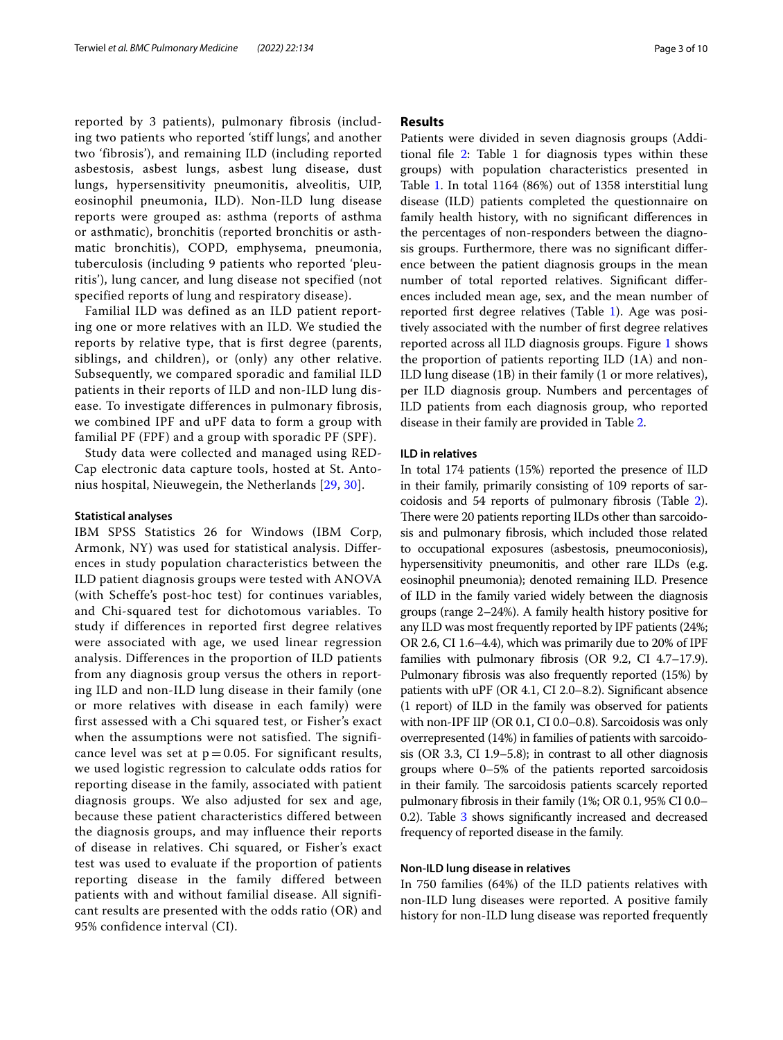reported by 3 patients), pulmonary fibrosis (including two patients who reported 'stiff lungs', and another two 'fibrosis'), and remaining ILD (including reported asbestosis, asbest lungs, asbest lung disease, dust lungs, hypersensitivity pneumonitis, alveolitis, UIP, eosinophil pneumonia, ILD). Non-ILD lung disease reports were grouped as: asthma (reports of asthma or asthmatic), bronchitis (reported bronchitis or asthmatic bronchitis), COPD, emphysema, pneumonia, tuberculosis (including 9 patients who reported 'pleuritis'), lung cancer, and lung disease not specified (not specified reports of lung and respiratory disease).

Familial ILD was defined as an ILD patient reporting one or more relatives with an ILD. We studied the reports by relative type, that is first degree (parents, siblings, and children), or (only) any other relative. Subsequently, we compared sporadic and familial ILD patients in their reports of ILD and non-ILD lung disease. To investigate differences in pulmonary fibrosis, we combined IPF and uPF data to form a group with familial PF (FPF) and a group with sporadic PF (SPF).

Study data were collected and managed using RED-Cap electronic data capture tools, hosted at St. Antonius hospital, Nieuwegein, the Netherlands [\[29,](#page-9-1) [30\]](#page-9-2).

## **Statistical analyses**

IBM SPSS Statistics 26 for Windows (IBM Corp, Armonk, NY) was used for statistical analysis. Differences in study population characteristics between the ILD patient diagnosis groups were tested with ANOVA (with Scheffe's post-hoc test) for continues variables, and Chi-squared test for dichotomous variables. To study if differences in reported first degree relatives were associated with age, we used linear regression analysis. Differences in the proportion of ILD patients from any diagnosis group versus the others in reporting ILD and non-ILD lung disease in their family (one or more relatives with disease in each family) were first assessed with a Chi squared test, or Fisher's exact when the assumptions were not satisfied. The significance level was set at  $p = 0.05$ . For significant results, we used logistic regression to calculate odds ratios for reporting disease in the family, associated with patient diagnosis groups. We also adjusted for sex and age, because these patient characteristics differed between the diagnosis groups, and may influence their reports of disease in relatives. Chi squared, or Fisher's exact test was used to evaluate if the proportion of patients reporting disease in the family differed between patients with and without familial disease. All significant results are presented with the odds ratio (OR) and 95% confidence interval (CI).

# **Results**

Patients were divided in seven diagnosis groups (Additional fle [2](#page-8-17): Table 1 for diagnosis types within these groups) with population characteristics presented in Table [1](#page-1-0). In total 1164 (86%) out of 1358 interstitial lung disease (ILD) patients completed the questionnaire on family health history, with no signifcant diferences in the percentages of non-responders between the diagnosis groups. Furthermore, there was no signifcant diference between the patient diagnosis groups in the mean number of total reported relatives. Signifcant diferences included mean age, sex, and the mean number of reported frst degree relatives (Table [1\)](#page-1-0). Age was positively associated with the number of frst degree relatives reported across all ILD diagnosis groups. Figure [1](#page-3-0) shows the proportion of patients reporting ILD (1A) and non-ILD lung disease (1B) in their family (1 or more relatives), per ILD diagnosis group. Numbers and percentages of ILD patients from each diagnosis group, who reported disease in their family are provided in Table [2.](#page-4-0)

## **ILD in relatives**

In total 174 patients (15%) reported the presence of ILD in their family, primarily consisting of 109 reports of sarcoidosis and 54 reports of pulmonary fbrosis (Table [2](#page-4-0)). There were 20 patients reporting ILDs other than sarcoidosis and pulmonary fbrosis, which included those related to occupational exposures (asbestosis, pneumoconiosis), hypersensitivity pneumonitis, and other rare ILDs (e.g. eosinophil pneumonia); denoted remaining ILD. Presence of ILD in the family varied widely between the diagnosis groups (range 2–24%). A family health history positive for any ILD was most frequently reported by IPF patients (24%; OR 2.6, CI 1.6–4.4), which was primarily due to 20% of IPF families with pulmonary fbrosis (OR 9.2, CI 4.7–17.9). Pulmonary fbrosis was also frequently reported (15%) by patients with uPF (OR 4.1, CI 2.0–8.2). Signifcant absence (1 report) of ILD in the family was observed for patients with non-IPF IIP (OR 0.1, CI 0.0–0.8). Sarcoidosis was only overrepresented (14%) in families of patients with sarcoidosis (OR 3.3, CI 1.9–5.8); in contrast to all other diagnosis groups where 0–5% of the patients reported sarcoidosis in their family. The sarcoidosis patients scarcely reported pulmonary fbrosis in their family (1%; OR 0.1, 95% CI 0.0– 0.2). Table [3](#page-4-1) shows significantly increased and decreased frequency of reported disease in the family.

# **Non‑ILD lung disease in relatives**

In 750 families (64%) of the ILD patients relatives with non-ILD lung diseases were reported. A positive family history for non-ILD lung disease was reported frequently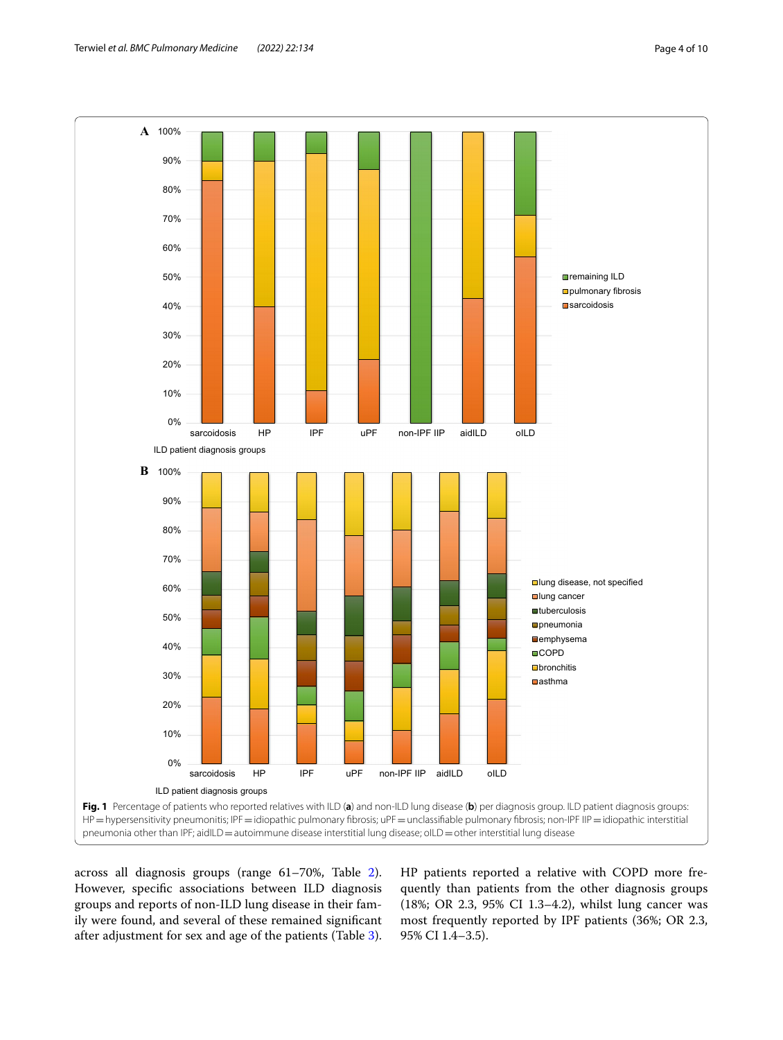

<span id="page-3-0"></span>across all diagnosis groups (range 61–70%, Table [2](#page-4-0)). However, specifc associations between ILD diagnosis groups and reports of non-ILD lung disease in their family were found, and several of these remained signifcant after adjustment for sex and age of the patients (Table [3](#page-4-1)).

HP patients reported a relative with COPD more frequently than patients from the other diagnosis groups (18%; OR 2.3, 95% CI 1.3–4.2), whilst lung cancer was most frequently reported by IPF patients (36%; OR 2.3, 95% CI 1.4–3.5).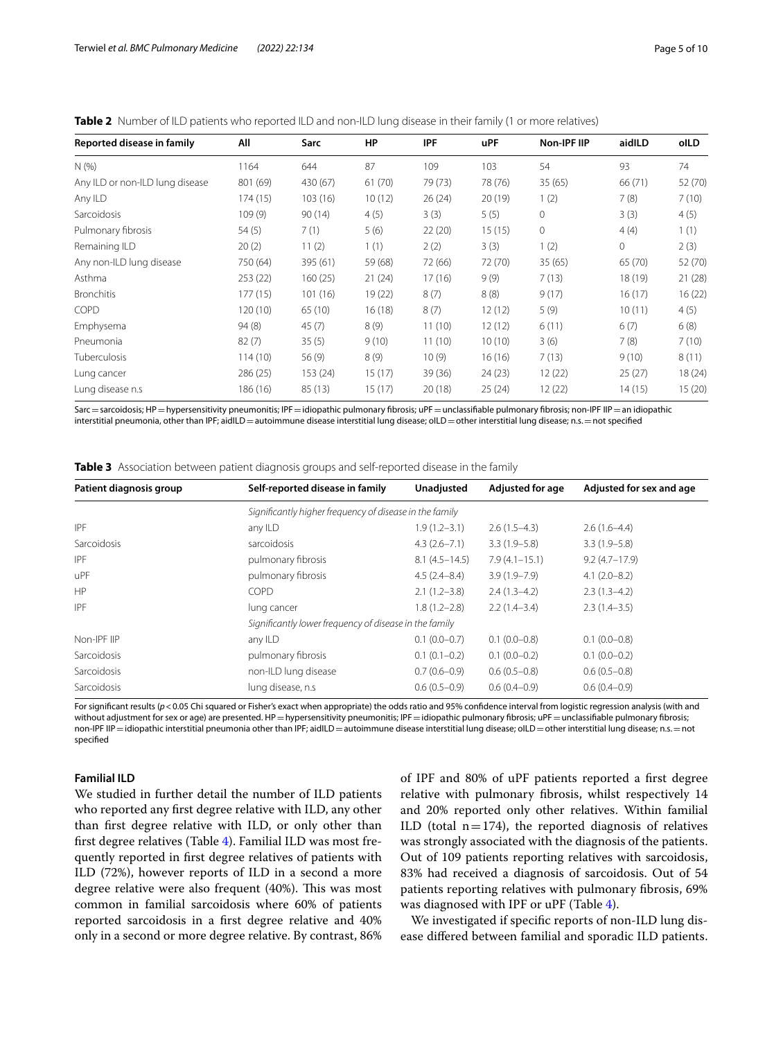| Reported disease in family      | All      | Sarc     | HP      | <b>IPF</b> | <b>uPF</b> | Non-IPF IIP | aidlLD  | olLD    |
|---------------------------------|----------|----------|---------|------------|------------|-------------|---------|---------|
| N(%                             | 1164     | 644      | 87      | 109        | 103        | 54          | 93      | 74      |
| Any ILD or non-ILD lung disease | 801 (69) | 430 (67) | 61(70)  | 79 (73)    | 78 (76)    | 35(65)      | 66 (71) | 52 (70) |
| Any ILD                         | 174 (15) | 103(16)  | 10(12)  | 26(24)     | 20(19)     | 1(2)        | 7(8)    | 7(10)   |
| Sarcoidosis                     | 109(9)   | 90(14)   | 4(5)    | 3(3)       | 5(5)       | $\circ$     | 3(3)    | 4(5)    |
| Pulmonary fibrosis              | 54(5)    | 7(1)     | 5(6)    | 22(20)     | 15(15)     | $\circ$     | 4(4)    | 1(1)    |
| Remaining ILD                   | 20(2)    | 11(2)    | 1(1)    | 2(2)       | 3(3)       | 1(2)        | 0       | 2(3)    |
| Any non-ILD lung disease        | 750 (64) | 395 (61) | 59 (68) | 72 (66)    | 72 (70)    | 35(65)      | 65 (70) | 52 (70) |
| Asthma                          | 253(22)  | 160(25)  | 21(24)  | 17(16)     | 9(9)       | 7(13)       | 18 (19) | 21(28)  |
| <b>Bronchitis</b>               | 177 (15) | 101 (16) | 19 (22) | 8(7)       | 8(8)       | 9(17)       | 16(17)  | 16(22)  |
| COPD                            | 120 (10) | 65 (10)  | 16(18)  | 8(7)       | 12(12)     | 5(9)        | 10(11)  | 4(5)    |
| Emphysema                       | 94(8)    | 45(7)    | 8(9)    | 11(10)     | 12(12)     | 6(11)       | 6(7)    | 6(8)    |
| Pneumonia                       | 82(7)    | 35(5)    | 9(10)   | 11(10)     | 10(10)     | 3(6)        | 7(8)    | 7(10)   |
| Tuberculosis                    | 114(10)  | 56(9)    | 8(9)    | 10(9)      | 16(16)     | 7(13)       | 9(10)   | 8(11)   |
| Lung cancer                     | 286 (25) | 153 (24) | 15(17)  | 39 (36)    | 24(23)     | 12 (22)     | 25(27)  | 18 (24) |
| Lung disease n.s                | 186 (16) | 85 (13)  | 15 (17) | 20(18)     | 25(24)     | 12 (22)     | 14 (15) | 15(20)  |

<span id="page-4-0"></span>**Table 2** Number of ILD patients who reported ILD and non-ILD lung disease in their family (1 or more relatives)

Sarc = sarcoidosis; HP = hypersensitivity pneumonitis; IPF = idiopathic pulmonary fibrosis; uPF = unclassifiable pulmonary fibrosis; non-IPF IIP = an idiopathic interstitial pneumonia, other than IPF; aidILD = autoimmune disease interstitial lung disease; olLD = other interstitial lung disease; n.s. = not specified

<span id="page-4-1"></span>**Table 3** Association between patient diagnosis groups and self-reported disease in the family

| Patient diagnosis group | Self-reported disease in family                         | <b>Unadjusted</b> | <b>Adjusted for age</b> | Adjusted for sex and age |
|-------------------------|---------------------------------------------------------|-------------------|-------------------------|--------------------------|
|                         | Significantly higher frequency of disease in the family |                   |                         |                          |
| <b>IPF</b>              | any ILD                                                 | $1.9(1.2 - 3.1)$  | $2.6(1.5-4.3)$          | $2.6(1.6-4.4)$           |
| Sarcoidosis             | sarcoidosis                                             | $4.3(2.6 - 7.1)$  | $3.3(1.9 - 5.8)$        | $3.3(1.9-5.8)$           |
| <b>IPF</b>              | pulmonary fibrosis                                      | $8.1(4.5 - 14.5)$ | $7.9(4.1 - 15.1)$       | $9.2(4.7 - 17.9)$        |
| uPF                     | pulmonary fibrosis                                      | $4.5(2.4 - 8.4)$  | $3.9(1.9 - 7.9)$        | $4.1(2.0 - 8.2)$         |
| HP                      | COPD                                                    | $2.1(1.2 - 3.8)$  | $2.4(1.3-4.2)$          | $2.3(1.3-4.2)$           |
| <b>IPF</b>              | lung cancer                                             | $1.8(1.2 - 2.8)$  | $2.2(1.4-3.4)$          | $2.3(1.4-3.5)$           |
|                         | Significantly lower frequency of disease in the family  |                   |                         |                          |
| Non-IPF IIP             | any ILD                                                 | $0.1(0.0-0.7)$    | $0.1(0.0-0.8)$          | $0.1(0.0-0.8)$           |
| Sarcoidosis             | pulmonary fibrosis                                      | $0.1(0.1-0.2)$    | $0.1(0.0-0.2)$          | $0.1(0.0-0.2)$           |
| Sarcoidosis             | non-ILD lung disease                                    | $0.7(0.6-0.9)$    | $0.6(0.5-0.8)$          | $0.6(0.5-0.8)$           |
| Sarcoidosis             | lung disease, n.s.                                      | $0.6(0.5-0.9)$    | $0.6(0.4-0.9)$          | $0.6(0.4-0.9)$           |

For significant results ( $p$ <0.05 Chi squared or Fisher's exact when appropriate) the odds ratio and 95% confidence interval from logistic regression analysis (with and without adjustment for sex or age) are presented. HP=hypersensitivity pneumonitis; IPF=idiopathic pulmonary fibrosis; uPF=unclassifiable pulmonary fibrosis; non-IPF IIP = idiopathic interstitial pneumonia other than IPF; aidILD = autoimmune disease interstitial lung disease; oILD = other interstitial lung disease; n.s. = not specifed

# **Familial ILD**

We studied in further detail the number of ILD patients who reported any frst degree relative with ILD, any other than frst degree relative with ILD, or only other than frst degree relatives (Table [4\)](#page-5-0). Familial ILD was most frequently reported in frst degree relatives of patients with ILD (72%), however reports of ILD in a second a more degree relative were also frequent (40%). This was most common in familial sarcoidosis where 60% of patients reported sarcoidosis in a frst degree relative and 40% only in a second or more degree relative. By contrast, 86% of IPF and 80% of uPF patients reported a frst degree relative with pulmonary fbrosis, whilst respectively 14 and 20% reported only other relatives. Within familial ILD (total  $n=174$ ), the reported diagnosis of relatives was strongly associated with the diagnosis of the patients. Out of 109 patients reporting relatives with sarcoidosis, 83% had received a diagnosis of sarcoidosis. Out of 54 patients reporting relatives with pulmonary fbrosis, 69% was diagnosed with IPF or uPF (Table [4\)](#page-5-0).

We investigated if specifc reports of non-ILD lung disease difered between familial and sporadic ILD patients.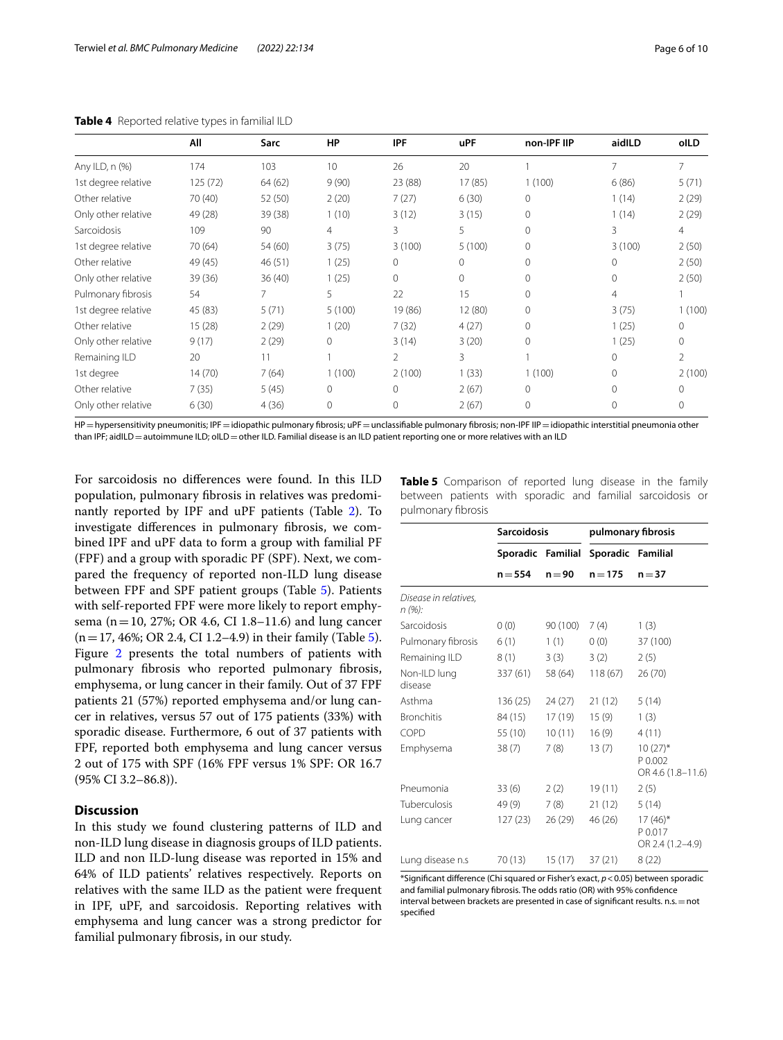|                     | All     | Sarc    | HP             | <b>IPF</b> | <b>uPF</b> | non-IPF IIP  | aidlLD   | oILD           |
|---------------------|---------|---------|----------------|------------|------------|--------------|----------|----------------|
| Any ILD, n (%)      | 174     | 103     | 10             | 26         | 20         |              | 7        | 7              |
| 1st degree relative | 125(72) | 64 (62) | 9(90)          | 23 (88)    | 17(85)     | 1(100)       | 6(86)    | 5(71)          |
| Other relative      | 70 (40) | 52 (50) | 2(20)          | 7(27)      | 6(30)      | $\Omega$     | 1(14)    | 2(29)          |
| Only other relative | 49 (28) | 39(38)  | 1(10)          | 3(12)      | 3(15)      | $\Omega$     | 1(14)    | 2(29)          |
| Sarcoidosis         | 109     | 90      | $\overline{4}$ | 3          | 5          | $\Omega$     | 3        | $\overline{4}$ |
| 1st degree relative | 70 (64) | 54 (60) | 3(75)          | 3(100)     | 5(100)     | $\mathbf{0}$ | 3(100)   | 2(50)          |
| Other relative      | 49 (45) | 46(51)  | 1(25)          | 0          | 0          | 0            | 0        | 2(50)          |
| Only other relative | 39 (36) | 36(40)  | 1(25)          | 0          | 0          | $\Omega$     | $\circ$  | 2(50)          |
| Pulmonary fibrosis  | 54      | 7       | 5              | 22         | 15         | $\Omega$     | 4        |                |
| 1st degree relative | 45 (83) | 5(71)   | 5(100)         | 19 (86)    | 12 (80)    | $\Omega$     | 3(75)    | (100)          |
| Other relative      | 15(28)  | 2(29)   | 1(20)          | 7(32)      | 4(27)      | $\Omega$     | 1(25)    | $\Omega$       |
| Only other relative | 9(17)   | 2(29)   | $\mathbf{0}$   | 3(14)      | 3(20)      | $\Omega$     | 1(25)    | $\Omega$       |
| Remaining ILD       | 20      | 11      |                | 2          | 3          |              | $\Omega$ | $\mathcal{P}$  |
| 1st degree          | 14(70)  | 7(64)   | 1(100)         | 2(100)     | 1(33)      | 1(100)       | $\Omega$ | 2(100)         |
| Other relative      | 7(35)   | 5(45)   | $\circ$        | 0          | 2(67)      | $\Omega$     | $\Omega$ | $\Omega$       |
| Only other relative | 6(30)   | 4(36)   | 0              | 0          | 2(67)      | $\mathbf{0}$ | $\circ$  | $\mathbf{0}$   |

#### <span id="page-5-0"></span>**Table 4** Reported relative types in familial ILD

HP=hypersensitivity pneumonitis; IPF=idiopathic pulmonary fibrosis; uPF=unclassifiable pulmonary fibrosis; non-IPF IIP=idiopathic interstitial pneumonia other than IPF; aidILD = autoimmune ILD; oILD = other ILD. Familial disease is an ILD patient reporting one or more relatives with an ILD

For sarcoidosis no diferences were found. In this ILD population, pulmonary fbrosis in relatives was predominantly reported by IPF and uPF patients (Table [2](#page-4-0)). To investigate diferences in pulmonary fbrosis, we combined IPF and uPF data to form a group with familial PF (FPF) and a group with sporadic PF (SPF). Next, we compared the frequency of reported non-ILD lung disease between FPF and SPF patient groups (Table [5\)](#page-5-1). Patients with self-reported FPF were more likely to report emphysema (n=10, 27%; OR 4.6, CI 1.8–11.6) and lung cancer  $(n=17, 46\%;$  OR 2.4, CI 1.2–4.9) in their family (Table [5](#page-5-1)). Figure [2](#page-6-0) presents the total numbers of patients with pulmonary fbrosis who reported pulmonary fbrosis, emphysema, or lung cancer in their family. Out of 37 FPF patients 21 (57%) reported emphysema and/or lung cancer in relatives, versus 57 out of 175 patients (33%) with sporadic disease. Furthermore, 6 out of 37 patients with FPF, reported both emphysema and lung cancer versus 2 out of 175 with SPF (16% FPF versus 1% SPF: OR 16.7 (95% CI 3.2–86.8)).

# **Discussion**

In this study we found clustering patterns of ILD and non-ILD lung disease in diagnosis groups of ILD patients. ILD and non ILD-lung disease was reported in 15% and 64% of ILD patients' relatives respectively. Reports on relatives with the same ILD as the patient were frequent in IPF, uPF, and sarcoidosis. Reporting relatives with emphysema and lung cancer was a strong predictor for familial pulmonary fbrosis, in our study.

<span id="page-5-1"></span>**Table 5** Comparison of reported lung disease in the family between patients with sporadic and familial sarcoidosis or pulmonary fbrosis

|                                 | <b>Sarcoidosis</b> |          | pulmonary fibrosis |                                            |  |
|---------------------------------|--------------------|----------|--------------------|--------------------------------------------|--|
|                                 | Sporadic Familial  |          | Sporadic Familial  |                                            |  |
|                                 | $n = 554$          | $n = 90$ | $n = 175$          | $n = 37$                                   |  |
| Disease in relatives,<br>n (%): |                    |          |                    |                                            |  |
| Sarcoidosis                     | 0(0)               | 90 (100) | 7(4)               | 1(3)                                       |  |
| Pulmonary fibrosis              | 6(1)               | 1(1)     | 0(0)               | 37 (100)                                   |  |
| Remaining ILD                   | 8(1)               | 3(3)     | 3(2)               | 2(5)                                       |  |
| Non-ILD lung<br>disease         | 337 (61)           | 58 (64)  | 118(67)            | 26(70)                                     |  |
| Asthma                          | 136 (25)           | 24(27)   | 21(12)             | 5(14)                                      |  |
| <b>Bronchitis</b>               | 84 (15)            | 17 (19)  | 15(9)              | 1(3)                                       |  |
| COPD                            | 55 (10)            | 10(11)   | 16(9)              | 4(11)                                      |  |
| Emphysema                       | 38(7)              | 7(8)     | 13(7)              | $10(27)$ *<br>P 0.002<br>OR 4.6 (1.8-11.6) |  |
| Pneumonia                       | 33(6)              | 2(2)     | 19(11)             | 2(5)                                       |  |
| Tuberculosis                    | 49 (9)             | 7(8)     | 21(12)             | 5(14)                                      |  |
| Lung cancer                     | 127 (23)           | 26 (29)  | 46 (26)            | $17(46)$ *<br>P 0.017<br>OR 2.4 (1.2-4.9)  |  |
| Lung disease n.s                | 70 (13)            | 15(17)   | 37(21)             | 8(22)                                      |  |

\*Signifcant diference (Chi squared or Fisher's exact, *p*<0.05) between sporadic and familial pulmonary fbrosis. The odds ratio (OR) with 95% confdence interval between brackets are presented in case of significant results. n.s. = not specifed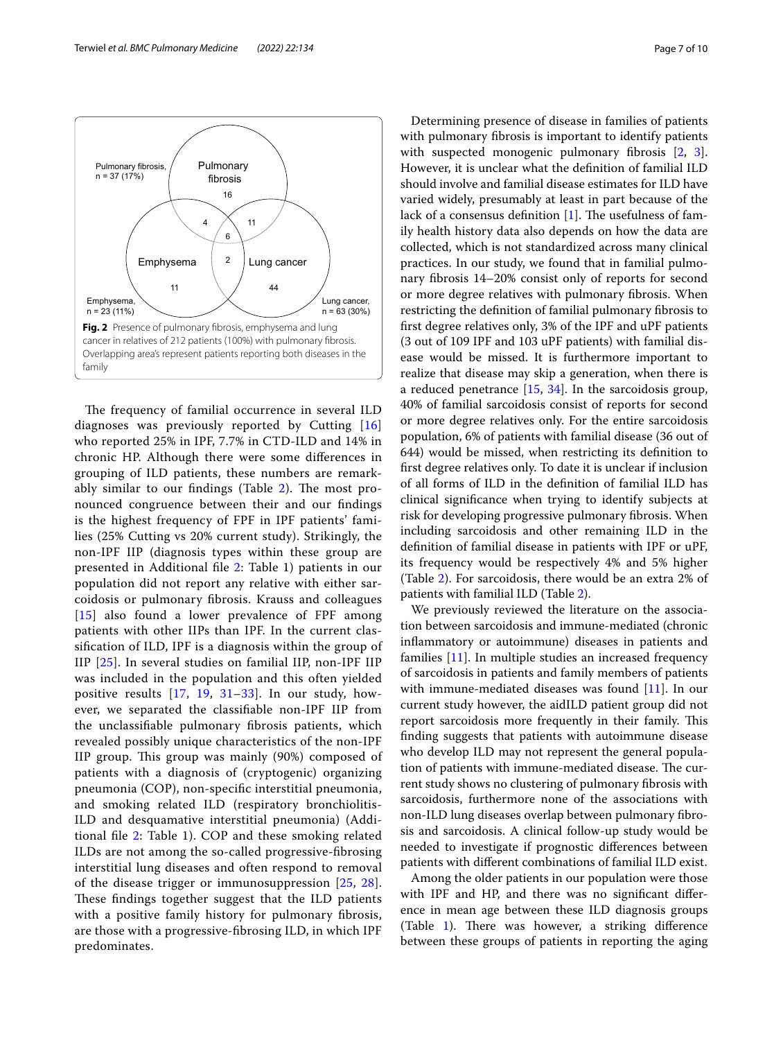

<span id="page-6-0"></span>The frequency of familial occurrence in several ILD diagnoses was previously reported by Cutting [\[16](#page-8-14)] who reported 25% in IPF, 7.7% in CTD-ILD and 14% in chronic HP. Although there were some diferences in grouping of ILD patients, these numbers are remarkably similar to our findings (Table  $2$ ). The most pronounced congruence between their and our fndings is the highest frequency of FPF in IPF patients' families (25% Cutting vs 20% current study). Strikingly, the non-IPF IIP (diagnosis types within these group are presented in Additional fle [2](#page-8-17): Table 1) patients in our population did not report any relative with either sarcoidosis or pulmonary fbrosis. Krauss and colleagues [[15](#page-8-13)] also found a lower prevalence of FPF among patients with other IIPs than IPF. In the current classifcation of ILD, IPF is a diagnosis within the group of IIP [[25](#page-9-3)]. In several studies on familial IIP, non-IPF IIP was included in the population and this often yielded positive results [[17,](#page-8-19) [19,](#page-8-20) [31](#page-9-4)–[33\]](#page-9-5). In our study, however, we separated the classifable non-IPF IIP from the unclassifable pulmonary fbrosis patients, which revealed possibly unique characteristics of the non-IPF IIP group. This group was mainly (90%) composed of patients with a diagnosis of (cryptogenic) organizing pneumonia (COP), non-specifc interstitial pneumonia, and smoking related ILD (respiratory bronchiolitis-ILD and desquamative interstitial pneumonia) (Additional fle [2](#page-8-17): Table 1). COP and these smoking related ILDs are not among the so-called progressive-fbrosing interstitial lung diseases and often respond to removal of the disease trigger or immunosuppression [[25,](#page-9-3) [28\]](#page-9-0). These findings together suggest that the ILD patients with a positive family history for pulmonary fibrosis, are those with a progressive-fbrosing ILD, in which IPF predominates.

Determining presence of disease in families of patients with pulmonary fbrosis is important to identify patients with suspected monogenic pulmonary fibrosis [\[2](#page-8-1), [3](#page-8-2)]. However, it is unclear what the defnition of familial ILD should involve and familial disease estimates for ILD have varied widely, presumably at least in part because of the lack of a consensus definition  $[1]$  $[1]$ . The usefulness of family health history data also depends on how the data are collected, which is not standardized across many clinical practices. In our study, we found that in familial pulmonary fbrosis 14–20% consist only of reports for second or more degree relatives with pulmonary fbrosis. When restricting the defnition of familial pulmonary fbrosis to frst degree relatives only, 3% of the IPF and uPF patients (3 out of 109 IPF and 103 uPF patients) with familial disease would be missed. It is furthermore important to realize that disease may skip a generation, when there is a reduced penetrance [\[15](#page-8-13), [34](#page-9-6)]. In the sarcoidosis group, 40% of familial sarcoidosis consist of reports for second or more degree relatives only. For the entire sarcoidosis population, 6% of patients with familial disease (36 out of 644) would be missed, when restricting its defnition to frst degree relatives only. To date it is unclear if inclusion of all forms of ILD in the defnition of familial ILD has clinical signifcance when trying to identify subjects at risk for developing progressive pulmonary fbrosis. When including sarcoidosis and other remaining ILD in the defnition of familial disease in patients with IPF or uPF, its frequency would be respectively 4% and 5% higher (Table [2](#page-4-0)). For sarcoidosis, there would be an extra 2% of patients with familial ILD (Table [2](#page-4-0)).

We previously reviewed the literature on the association between sarcoidosis and immune-mediated (chronic infammatory or autoimmune) diseases in patients and families [[11\]](#page-8-10). In multiple studies an increased frequency of sarcoidosis in patients and family members of patients with immune-mediated diseases was found [\[11\]](#page-8-10). In our current study however, the aidILD patient group did not report sarcoidosis more frequently in their family. This fnding suggests that patients with autoimmune disease who develop ILD may not represent the general population of patients with immune-mediated disease. The current study shows no clustering of pulmonary fbrosis with sarcoidosis, furthermore none of the associations with non-ILD lung diseases overlap between pulmonary fbrosis and sarcoidosis. A clinical follow-up study would be needed to investigate if prognostic diferences between patients with diferent combinations of familial ILD exist.

Among the older patients in our population were those with IPF and HP, and there was no signifcant diference in mean age between these ILD diagnosis groups (Table  $1$ ). There was however, a striking difference between these groups of patients in reporting the aging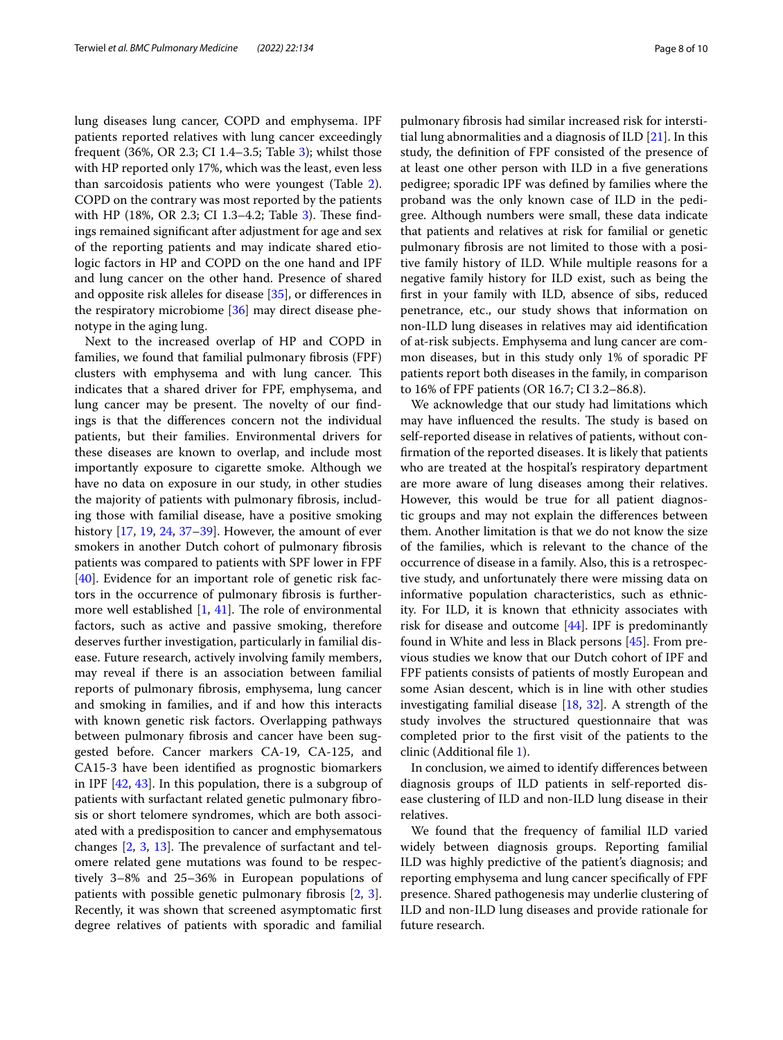lung diseases lung cancer, COPD and emphysema. IPF patients reported relatives with lung cancer exceedingly frequent (36%, OR 2.3; CI 1.4–3.5; Table [3](#page-4-1)); whilst those with HP reported only 17%, which was the least, even less than sarcoidosis patients who were youngest (Table [2](#page-4-0)). COPD on the contrary was most reported by the patients with HP (18%, OR 2.3; CI 1.3–4.2; Table [3\)](#page-4-1). These findings remained signifcant after adjustment for age and sex of the reporting patients and may indicate shared etiologic factors in HP and COPD on the one hand and IPF and lung cancer on the other hand. Presence of shared and opposite risk alleles for disease [\[35](#page-9-7)], or diferences in the respiratory microbiome [[36](#page-9-8)] may direct disease phenotype in the aging lung.

Next to the increased overlap of HP and COPD in families, we found that familial pulmonary fbrosis (FPF) clusters with emphysema and with lung cancer. This indicates that a shared driver for FPF, emphysema, and lung cancer may be present. The novelty of our findings is that the diferences concern not the individual patients, but their families. Environmental drivers for these diseases are known to overlap, and include most importantly exposure to cigarette smoke. Although we have no data on exposure in our study, in other studies the majority of patients with pulmonary fbrosis, including those with familial disease, have a positive smoking history [[17](#page-8-19), [19](#page-8-20), [24](#page-9-9), [37](#page-9-10)[–39\]](#page-9-11). However, the amount of ever smokers in another Dutch cohort of pulmonary fbrosis patients was compared to patients with SPF lower in FPF [[40\]](#page-9-12). Evidence for an important role of genetic risk factors in the occurrence of pulmonary fbrosis is furthermore well established  $[1, 41]$  $[1, 41]$  $[1, 41]$  $[1, 41]$  $[1, 41]$ . The role of environmental factors, such as active and passive smoking, therefore deserves further investigation, particularly in familial disease. Future research, actively involving family members, may reveal if there is an association between familial reports of pulmonary fbrosis, emphysema, lung cancer and smoking in families, and if and how this interacts with known genetic risk factors. Overlapping pathways between pulmonary fbrosis and cancer have been suggested before. Cancer markers CA-19, CA-125, and CA15-3 have been identifed as prognostic biomarkers in IPF [[42,](#page-9-14) [43\]](#page-9-15). In this population, there is a subgroup of patients with surfactant related genetic pulmonary fbrosis or short telomere syndromes, which are both associated with a predisposition to cancer and emphysematous changes  $[2, 3, 13]$  $[2, 3, 13]$  $[2, 3, 13]$  $[2, 3, 13]$  $[2, 3, 13]$ . The prevalence of surfactant and telomere related gene mutations was found to be respectively 3–8% and 25–36% in European populations of patients with possible genetic pulmonary fbrosis [\[2](#page-8-1), [3](#page-8-2)]. Recently, it was shown that screened asymptomatic frst degree relatives of patients with sporadic and familial pulmonary fbrosis had similar increased risk for interstitial lung abnormalities and a diagnosis of ILD [[21\]](#page-8-15). In this study, the defnition of FPF consisted of the presence of at least one other person with ILD in a fve generations pedigree; sporadic IPF was defned by families where the proband was the only known case of ILD in the pedigree. Although numbers were small, these data indicate that patients and relatives at risk for familial or genetic pulmonary fbrosis are not limited to those with a positive family history of ILD. While multiple reasons for a negative family history for ILD exist, such as being the frst in your family with ILD, absence of sibs, reduced penetrance, etc., our study shows that information on non-ILD lung diseases in relatives may aid identifcation of at-risk subjects. Emphysema and lung cancer are common diseases, but in this study only 1% of sporadic PF patients report both diseases in the family, in comparison to 16% of FPF patients (OR 16.7; CI 3.2–86.8).

We acknowledge that our study had limitations which may have influenced the results. The study is based on self-reported disease in relatives of patients, without confrmation of the reported diseases. It is likely that patients who are treated at the hospital's respiratory department are more aware of lung diseases among their relatives. However, this would be true for all patient diagnostic groups and may not explain the diferences between them. Another limitation is that we do not know the size of the families, which is relevant to the chance of the occurrence of disease in a family. Also, this is a retrospective study, and unfortunately there were missing data on informative population characteristics, such as ethnicity. For ILD, it is known that ethnicity associates with risk for disease and outcome [\[44\]](#page-9-16). IPF is predominantly found in White and less in Black persons [[45\]](#page-9-17). From previous studies we know that our Dutch cohort of IPF and FPF patients consists of patients of mostly European and some Asian descent, which is in line with other studies investigating familial disease [[18,](#page-8-22) [32](#page-9-18)]. A strength of the study involves the structured questionnaire that was completed prior to the frst visit of the patients to the clinic (Additional fle [1\)](#page-8-18).

In conclusion, we aimed to identify diferences between diagnosis groups of ILD patients in self-reported disease clustering of ILD and non-ILD lung disease in their relatives.

We found that the frequency of familial ILD varied widely between diagnosis groups. Reporting familial ILD was highly predictive of the patient's diagnosis; and reporting emphysema and lung cancer specifcally of FPF presence. Shared pathogenesis may underlie clustering of ILD and non-ILD lung diseases and provide rationale for future research.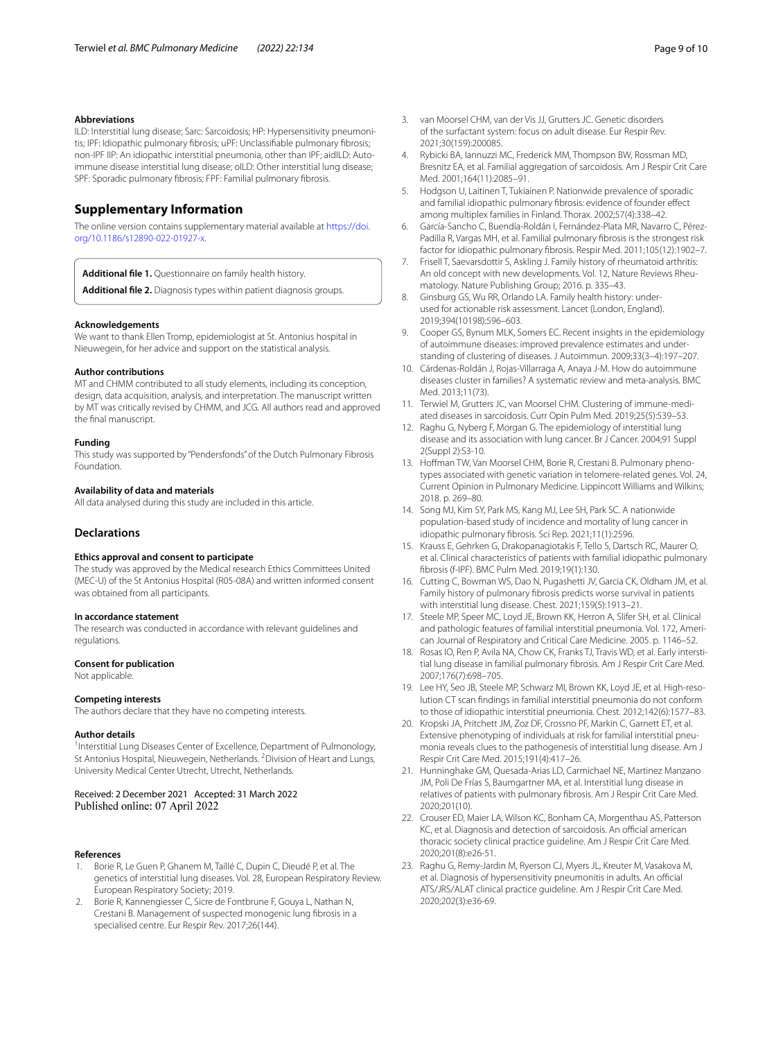#### **Abbreviations**

ILD: Interstitial lung disease; Sarc: Sarcoidosis; HP: Hypersensitivity pneumonitis; IPF: Idiopathic pulmonary fbrosis; uPF: Unclassifable pulmonary fbrosis; non-IPF IIP: An idiopathic interstitial pneumonia, other than IPF; aidILD: Autoimmune disease interstitial lung disease; oILD: Other interstitial lung disease; SPF: Sporadic pulmonary fbrosis; FPF: Familial pulmonary fbrosis.

# **Supplementary Information**

The online version contains supplementary material available at [https://doi.](https://doi.org/10.1186/s12890-022-01927-x) [org/10.1186/s12890-022-01927-x.](https://doi.org/10.1186/s12890-022-01927-x)

<span id="page-8-18"></span><span id="page-8-17"></span>**Additional fle 1.** Questionnaire on family health history.

**Additional fle 2.** Diagnosis types within patient diagnosis groups.

#### **Acknowledgements**

We want to thank Ellen Tromp, epidemiologist at St. Antonius hospital in Nieuwegein, for her advice and support on the statistical analysis.

# **Author contributions**

MT and CHMM contributed to all study elements, including its conception, design, data acquisition, analysis, and interpretation. The manuscript written by MT was critically revised by CHMM, and JCG. All authors read and approved the fnal manuscript.

#### **Funding**

This study was supported by "Pendersfonds" of the Dutch Pulmonary Fibrosis Foundation.

#### **Availability of data and materials**

All data analysed during this study are included in this article.

#### **Declarations**

#### **Ethics approval and consent to participate**

The study was approved by the Medical research Ethics Committees United (MEC-U) of the St Antonius Hospital (R05-08A) and written informed consent was obtained from all participants.

#### **In accordance statement**

The research was conducted in accordance with relevant guidelines and regulations.

#### **Consent for publication**

Not applicable.

#### **Competing interests**

The authors declare that they have no competing interests.

#### **Author details**

<sup>1</sup>Interstitial Lung Diseases Center of Excellence, Department of Pulmonology, St Antonius Hospital, Nieuwegein, Netherlands. <sup>2</sup> Division of Heart and Lungs, University Medical Center Utrecht, Utrecht, Netherlands.

#### Received: 2 December 2021 Accepted: 31 March 2022 Published online: 07 April 2022

#### **References**

- <span id="page-8-0"></span>1. Borie R, Le Guen P, Ghanem M, Taillé C, Dupin C, Dieudé P, et al. The genetics of interstitial lung diseases. Vol. 28, European Respiratory Review. European Respiratory Society; 2019.
- <span id="page-8-1"></span>2. Borie R, Kannengiesser C, Sicre de Fontbrune F, Gouya L, Nathan N, Crestani B. Management of suspected monogenic lung fbrosis in a specialised centre. Eur Respir Rev. 2017;26(144).
- <span id="page-8-2"></span>3. van Moorsel CHM, van der Vis JJ, Grutters JC. Genetic disorders of the surfactant system: focus on adult disease. Eur Respir Rev. 2021;30(159):200085.
- <span id="page-8-3"></span>4. Rybicki BA, Iannuzzi MC, Frederick MM, Thompson BW, Rossman MD, Bresnitz EA, et al. Familial aggregation of sarcoidosis. Am J Respir Crit Care Med. 2001;164(11):2085–91.
- <span id="page-8-4"></span>5. Hodgson U, Laitinen T, Tukiainen P. Nationwide prevalence of sporadic and familial idiopathic pulmonary fbrosis: evidence of founder efect among multiplex families in Finland. Thorax. 2002;57(4):338–42.
- <span id="page-8-5"></span>6. García-Sancho C, Buendía-Roldán I, Fernández-Plata MR, Navarro C, Pérez-Padilla R, Vargas MH, et al. Familial pulmonary fbrosis is the strongest risk factor for idiopathic pulmonary fbrosis. Respir Med. 2011;105(12):1902–7.
- <span id="page-8-6"></span>7. Frisell T, Saevarsdottir S, Askling J. Family history of rheumatoid arthritis: An old concept with new developments. Vol. 12, Nature Reviews Rheumatology. Nature Publishing Group; 2016. p. 335–43.
- <span id="page-8-7"></span>8. Ginsburg GS, Wu RR, Orlando LA. Family health history: underused for actionable risk assessment. Lancet (London, England). 2019;394(10198):596–603.
- <span id="page-8-8"></span>9. Cooper GS, Bynum MLK, Somers EC. Recent insights in the epidemiology of autoimmune diseases: improved prevalence estimates and understanding of clustering of diseases. J Autoimmun. 2009;33(3–4):197–207.
- <span id="page-8-9"></span>10. Cárdenas-Roldán J, Rojas-Villarraga A, Anaya J-M. How do autoimmune diseases cluster in families? A systematic review and meta-analysis. BMC Med. 2013;11(73).
- <span id="page-8-10"></span>11. Terwiel M, Grutters JC, van Moorsel CHM. Clustering of immune-mediated diseases in sarcoidosis. Curr Opin Pulm Med. 2019;25(5):539–53.
- <span id="page-8-11"></span>12. Raghu G, Nyberg F, Morgan G. The epidemiology of interstitial lung disease and its association with lung cancer. Br J Cancer. 2004;91 Suppl 2(Suppl 2):S3-10.
- <span id="page-8-21"></span>13. Hofman TW, Van Moorsel CHM, Borie R, Crestani B. Pulmonary phenotypes associated with genetic variation in telomere-related genes. Vol. 24, Current Opinion in Pulmonary Medicine. Lippincott Williams and Wilkins; 2018. p. 269–80.
- <span id="page-8-12"></span>14. Song MJ, Kim SY, Park MS, Kang MJ, Lee SH, Park SC. A nationwide population-based study of incidence and mortality of lung cancer in idiopathic pulmonary fbrosis. Sci Rep. 2021;11(1):2596.
- <span id="page-8-13"></span>15. Krauss E, Gehrken G, Drakopanagiotakis F, Tello S, Dartsch RC, Maurer O, et al. Clinical characteristics of patients with familial idiopathic pulmonary fbrosis (f-IPF). BMC Pulm Med. 2019;19(1):130.
- <span id="page-8-14"></span>16. Cutting C, Bowman WS, Dao N, Pugashetti JV, Garcia CK, Oldham JM, et al. Family history of pulmonary fbrosis predicts worse survival in patients with interstitial lung disease. Chest. 2021;159(5):1913–21.
- <span id="page-8-19"></span>17. Steele MP, Speer MC, Loyd JE, Brown KK, Herron A, Slifer SH, et al. Clinical and pathologic features of familial interstitial pneumonia. Vol. 172, American Journal of Respiratory and Critical Care Medicine. 2005. p. 1146–52.
- <span id="page-8-22"></span>18. Rosas IO, Ren P, Avila NA, Chow CK, Franks TJ, Travis WD, et al. Early interstitial lung disease in familial pulmonary fbrosis. Am J Respir Crit Care Med. 2007;176(7):698–705.
- <span id="page-8-20"></span>19. Lee HY, Seo JB, Steele MP, Schwarz MI, Brown KK, Loyd JE, et al. High-resolution CT scan fndings in familial interstitial pneumonia do not conform to those of idiopathic interstitial pneumonia. Chest. 2012;142(6):1577–83.
- 20. Kropski JA, Pritchett JM, Zoz DF, Crossno PF, Markin C, Garnett ET, et al. Extensive phenotyping of individuals at risk for familial interstitial pneumonia reveals clues to the pathogenesis of interstitial lung disease. Am J Respir Crit Care Med. 2015;191(4):417–26.
- <span id="page-8-15"></span>21. Hunninghake GM, Quesada-Arias LD, Carmichael NE, Martinez Manzano JM, Poli De Frías S, Baumgartner MA, et al. Interstitial lung disease in relatives of patients with pulmonary fbrosis. Am J Respir Crit Care Med. 2020;201(10).
- <span id="page-8-16"></span>22. Crouser ED, Maier LA, Wilson KC, Bonham CA, Morgenthau AS, Patterson KC, et al. Diagnosis and detection of sarcoidosis. An official american thoracic society clinical practice guideline. Am J Respir Crit Care Med. 2020;201(8):e26-51.
- 23. Raghu G, Remy-Jardin M, Ryerson CJ, Myers JL, Kreuter M, Vasakova M, et al. Diagnosis of hypersensitivity pneumonitis in adults. An official ATS/JRS/ALAT clinical practice guideline. Am J Respir Crit Care Med. 2020;202(3):e36-69.